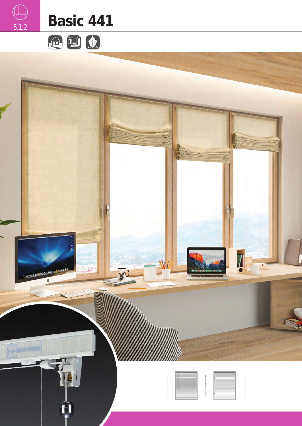





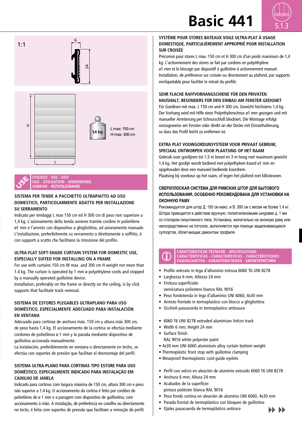# **Basic 441**









**UTILIZZO - USE - USO USO - UTILISATION - ANWENDUNG GEBRUIK - ИСПОЛЬЗОВАНИЕ**

#### **SISTEMA PER TENDE A PACCHETTO ULTRAPIATTO AD USO DOMESTICO, PARTICOLARMENTE ADATTO PER INSTALLAZIONE SU SERRAMENTO**

Indicato per tendaggi L max 150 cm ed H 300 cm di peso non superiore a 1,4 kg. L'azionamento della tenda avviene tramite cordine in polietilene ø1 mm e l'arresto con dispositivo a ghigliottina, ad azionamento manuale. L'installazione, preferibilmente su serramento o direttamente a soffitto, è con supporti a scatto che facilitano la rimozione del profilo.

#### **ULTRA-FLAT SOFT-SHADE CURTAIN SYSTEM FOR DOMESTIC USE, ESPECIALLY SUITED FOR INSTALLING ON A FRAME**

For use with curtains 150 cm W max. and 300 cm H weight not more than 1.4 kg. The curtain is operated by 1 mm ø polyethylene cords and stopped by a manually operated guillotine device.

Installation, preferably on the frame or directly on the ceiling, is by click supports that facilitate track removal.

#### **SISTEMA DE ESTORES PLEGABLES ULTRAPLANO PARA USO DOMÉSTICO, ESPECIALMENTE ADECUADO PARA INSTALACIÓN EN VENTANA**

Adecuado para cortinas de anchura máx. 150 cm y altura máx 300 cm, de peso hasta 1,4 kg. El accionamiento de la cortina se efectúa mediante cordones de polietileno ø 1 mm y la parada mediante dispositivo de guillotina accionada manualmente.

La instalación, preferiblemente en ventana o directamente en techo, se efectúa con soportes de presión que facilitan el desmontaje del perfil.

#### **SISTEMA ULTRA-PLANO PARA CORTINAS TIPO ESTORE PARA USO DOMÉSTICO, ESPECIALMENTE INDICADO PARA INSTALAÇÃO EM CAIXILHO DE JANELA**

Indicado para cortinas com largura máxima de 150 cm, altura 300 cm e peso não superior a 1,4 kg. O accionamento da cortina é feito por cordões de polietileno de ø 1 mm e a paragem com dispositivo de guilhotina, com accionamento à mão. A instalação, de preferência no caixilho ou directamente no tecto, é feita com suportes de pressão que facilitam a remoção do perfil.

#### **SYSTÈME POUR STORES BATEAUX VOILE ULTRA-PLAT À USAGE DOMESTIQUE, PARTICULIÈREMENT APPROPRIÉ POUR INSTALLATION SUR CROISÉE**

Préconisé pour stores L max. 150 cm et H 300 cm d'un poids maximum de 1,4 kg. L'actionnement des stores se fait par cordons en polyéthylène ø1 mm et le blocage par dispositif à guillotine à actionnement manuel. Installation, de préférence sur croisée ou directement au plafond, par supports encliquetable pour faciliter le retrait du profilé.

#### **SEHR FLACHE RAFFVORHANGSCHIENE FÜR DEN PRIVATEN HAUSHALT, BESONDERS FÜR DEN EINBAU AM FENSTER GEEIGNET**

Für Gardinen mit max. L 150 cm und H 300 cm, Gewicht höchstens 1,4 kg. Der Vorhang wird mit Hilfe einer Polyethylenschnur ø1 mm gezogen und mit manueller Arretierung per Schnurschloß blockiert. Die Montage erfolgt vorzugsweise am Fenster oder direkt an der Decke mit Einrasthalterung, so dass das Profil leicht zu entfernen ist.

#### **EXTRA PLAT VOUWGORDIJNSYSTEEM VOOR PRIVAAT GEBRUIK; SPECIAAL ONTWORPEN VOOR PLAATSING OP HET RAAM**

Gebruik voor gordijnen tot 1,5 m breed en 3 m hoog met maximum gewicht 1,4 kg. Het gordijn wordt bediend met polyethyleen koord ø1 mm en opgehouden door een manueel bediende koordrem.

Plaatsing bij voorkeur op het raam, of tegen het plafond met kliksteunen.

#### **СВЕРХПЛОСКАЯ СИСТЕМА ДЛЯ РИМСКИХ ШТОР ДЛЯ БЫТОВОГО ИСПОЛЬЗОВАНИЯ, ОСОБЕННО РЕКОМЕНДОВАНА ДЛЯ УСТАНОВКИ НА ОКОННУЮ РАМУ**

Рекомендуется для штор Д. 150 см макс. и В. 300 см с весом не более 1,4 кг. Штора приводится в действие вручную, полиэтиленовыми шнурами д. 1 мм со стопором гильотинного типа. Установка, желательно на оконную раму или непосредственно на потолок, выполняется при помощи защелкивающихся суппортов, облегчающих демонтаж профиля.



#### **CARATTERISTICHE TECNICHE - SPECIFICATIONS CARACTERÍSTICAS - CARACTERÍSTICAS - CARACTÉRISTIQUES EIGENSCHAFTEN - KARAKTERISTIEKEN - ХАРАКТЕРИСТИКИ**

- Profilo velcrato in lega d'alluminio estrusa 6060 T6 UNI 8278
- Larghezza 6 mm; Altezza 24 mm
- Finitura superficiale:
	- verniciatura poliestere bianco RAL 9016
- Peso fondotenda in lega d'alluminio UNI 6060, 4x30 mm
- Arresto frontale in termoplastico con blocco a ghigliottina
- Occhioli passacorda in termoplastico antiusura
- 6060 T6 UNI 8278 extruded aluminium Velcro track
- Width 6 mm; Height 24 mm
- Surface finish: RAL 9016 white polyester paint
- 4x30 mm UNI 6060 aluminium alloy curtain bottom weight
- Thermoplastic front stop with guillotine clamping
- Wearproof thermoplastic cord guide eyelets
- Perfil con velcro en aleación de aluminio extruido 6060 T6 UNI 8278
- Anchura 6 mm; Altura 24 mm
- Acabados de la superficie:
- pintura poliéster blanca RAL 9016
- Peso fondo cortina en aleación de aluminio UNI 6060, 4x30 mm
- Parada frontal de termoplástico con bloqueo de guillotina
- Ojales pasacuerda de termoplástico antiroce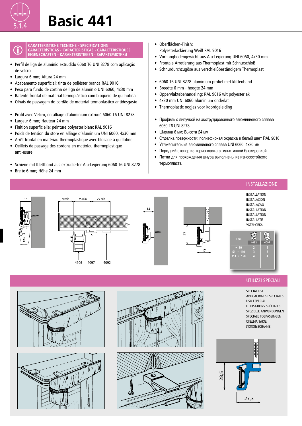#### **CARATTERISTICHE TECNICHE - SPECIFICATIONS CARACTERÍSTICAS - CARACTERÍSTICAS - CARACTÉRISTIQUES EIGENSCHAFTEN - KARAKTERISTIEKEN - ХАРАКТЕРИСТИКИ**

- Perfil de liga de alumínio extrudido 6060 T6 UNI 8278 com aplicação de velcro
- Largura 6 mm; Altura 24 mm
- Acabamento superficial: tinta de poliéster branca RAL 9016
- Peso para fundo de cortina de liga de alumínio UNI 6060, 4x30 mm
- Batente frontal de material termoplástico com bloqueio de guilhotina
- Olhais de passagem do cordão de material termoplástico antidesgaste 28,5
- Profil avec Velcro, en alliage d'aluminium extrudé 6060 T6 UNI 8278
- Largeur 6 mm; Hauteur 24 mm
- Finition superficielle: peinture polyester blanc RAL 9016
- Poids de tension du store en alliage d'aluminium UNI 6060, 4x30 mm
- Arrêt frontal en matériau thermoplastique avec blocage à guillotine
- Oeillets de passage des cordons en matériau thermoplastique anti-usure
- Schiene mit Klettband aus extrudierter Alu-Legierung 6060 T6 UNI 8278
- Breite 6 mm; Höhe 24 mm 28,5
- Oberflächen-Finish:
	- Polyesterlackierung Weiß RAL 9016
- Vorhangbodengewicht aus Alu-Legierung UNI 6060, 4x30 mm
- Frontale Arretierung aus Thermoplast mit Schnurschloß
- Schnurdurchzugöse aus verschleißbeständigem Thermoplast
- 6060 T6 UNI 8278 aluminium profiel met klittenband
- Breedte 6 mm hoogte 24 mm
- Oppervlaktebehandeling: RAL 9016 wit polyesterlak
- 4x30 mm UNI 6060 aluminium onderlat
- Thermoplastic oogjes voor koordgeleiding
- Профиль с липучкой из экструдированного алюминиевого сплава 6060 T6 UNI 8278
- Ширина 6 мм; Высота 24 мм
- Отделка поверхности: полиэфирная окраска в белый цвет RAL 9016
- Утяжелитель из алюминиевого сплава UNI 6060, 4x30 мм
- Передний стопор из термопласта с гильотинной блокировкой
- Петли для прохождения шнура выполнены из износостойкого термопласта







27,3





### UTILIZZI SPECIALI

INSTALLAZIONE

SPECIAL USE APLICACIONES ESPECIALES USO ESPECIAL UTILISATIONS SPÉCIALES SPEZIELLE ANWENDUNGEN SPECIALE TOFPASSINGEN СПЕЦИАЛЬНОЕ ИСПОЛЬЗОВАНИЕ











17

27